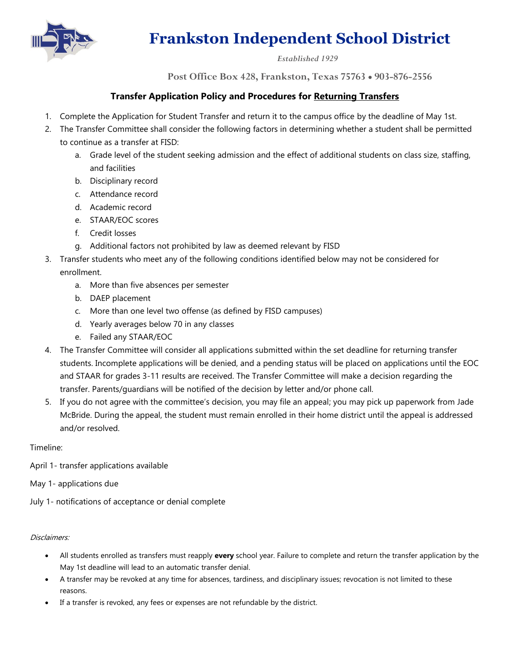

### *Established 1929*

**Post Office Box 428, Frankston, Texas 75763** • **903-876-2556**

### **Transfer Application Policy and Procedures for Returning Transfers**

- 1. Complete the Application for Student Transfer and return it to the campus office by the deadline of May 1st.
- 2. The Transfer Committee shall consider the following factors in determining whether a student shall be permitted to continue as a transfer at FISD:
	- a. Grade level of the student seeking admission and the effect of additional students on class size, staffing, and facilities
	- b. Disciplinary record
	- c. Attendance record
	- d. Academic record
	- e. STAAR/EOC scores
	- f. Credit losses
	- g. Additional factors not prohibited by law as deemed relevant by FISD
- 3. Transfer students who meet any of the following conditions identified below may not be considered for enrollment.
	- a. More than five absences per semester
	- b. DAEP placement
	- c. More than one level two offense (as defined by FISD campuses)
	- d. Yearly averages below 70 in any classes
	- e. Failed any STAAR/EOC
- 4. The Transfer Committee will consider all applications submitted within the set deadline for returning transfer students. Incomplete applications will be denied, and a pending status will be placed on applications until the EOC and STAAR for grades 3-11 results are received. The Transfer Committee will make a decision regarding the transfer. Parents/guardians will be notified of the decision by letter and/or phone call.
- 5. If you do not agree with the committee's decision, you may file an appeal; you may pick up paperwork from Jade McBride. During the appeal, the student must remain enrolled in their home district until the appeal is addressed and/or resolved.

#### Timeline:

- April 1- transfer applications available
- May 1- applications due
- July 1- notifications of acceptance or denial complete

#### Disclaimers:

- All students enrolled as transfers must reapply **every** school year. Failure to complete and return the transfer application by the May 1st deadline will lead to an automatic transfer denial.
- A transfer may be revoked at any time for absences, tardiness, and disciplinary issues; revocation is not limited to these reasons.
- If a transfer is revoked, any fees or expenses are not refundable by the district.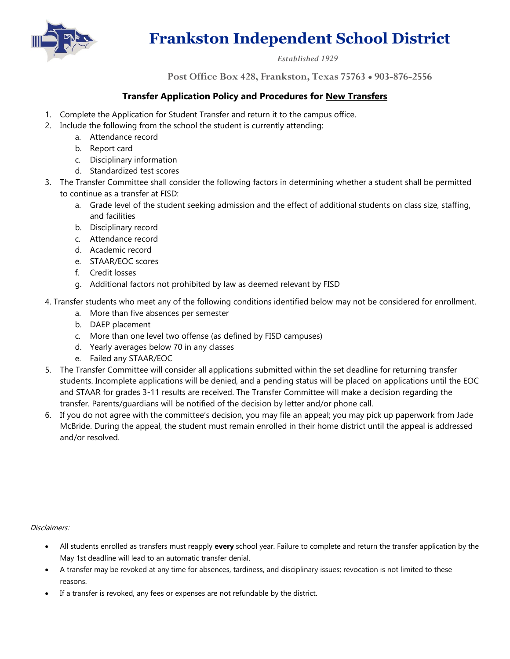

### *Established 1929*

**Post Office Box 428, Frankston, Texas 75763** • **903-876-2556**

### **Transfer Application Policy and Procedures for New Transfers**

- 1. Complete the Application for Student Transfer and return it to the campus office.
- 2. Include the following from the school the student is currently attending:
	- a. Attendance record
	- b. Report card
	- c. Disciplinary information
	- d. Standardized test scores
- 3. The Transfer Committee shall consider the following factors in determining whether a student shall be permitted to continue as a transfer at FISD:
	- a. Grade level of the student seeking admission and the effect of additional students on class size, staffing, and facilities
	- b. Disciplinary record
	- c. Attendance record
	- d. Academic record
	- e. STAAR/EOC scores
	- f. Credit losses
	- g. Additional factors not prohibited by law as deemed relevant by FISD
- 4. Transfer students who meet any of the following conditions identified below may not be considered for enrollment.
	- a. More than five absences per semester
	- b. DAEP placement
	- c. More than one level two offense (as defined by FISD campuses)
	- d. Yearly averages below 70 in any classes
	- e. Failed any STAAR/EOC
- 5. The Transfer Committee will consider all applications submitted within the set deadline for returning transfer students. Incomplete applications will be denied, and a pending status will be placed on applications until the EOC and STAAR for grades 3-11 results are received. The Transfer Committee will make a decision regarding the transfer. Parents/guardians will be notified of the decision by letter and/or phone call.
- 6. If you do not agree with the committee's decision, you may file an appeal; you may pick up paperwork from Jade McBride. During the appeal, the student must remain enrolled in their home district until the appeal is addressed and/or resolved.

#### Disclaimers:

- All students enrolled as transfers must reapply **every** school year. Failure to complete and return the transfer application by the May 1st deadline will lead to an automatic transfer denial.
- A transfer may be revoked at any time for absences, tardiness, and disciplinary issues; revocation is not limited to these reasons.
- If a transfer is revoked, any fees or expenses are not refundable by the district.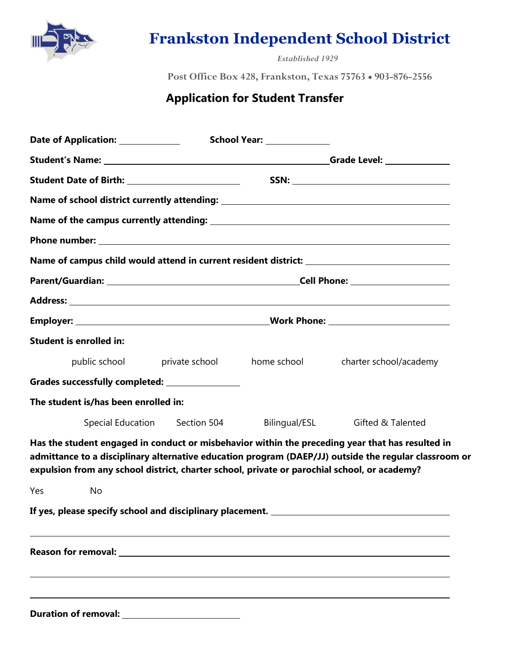

*Established 1929*

**Post Office Box 428, Frankston, Texas 75763** • **903-876-2556**

### **Application for Student Transfer**

| Date of Application: ______________                                                          |                               | School Year: ______________              |                                                                                                                                                                                                           |
|----------------------------------------------------------------------------------------------|-------------------------------|------------------------------------------|-----------------------------------------------------------------------------------------------------------------------------------------------------------------------------------------------------------|
|                                                                                              |                               |                                          |                                                                                                                                                                                                           |
| Student Date of Birth: _________________________                                             |                               |                                          |                                                                                                                                                                                                           |
|                                                                                              |                               |                                          | Name of school district currently attending: ___________________________________                                                                                                                          |
|                                                                                              |                               |                                          |                                                                                                                                                                                                           |
|                                                                                              |                               |                                          |                                                                                                                                                                                                           |
|                                                                                              |                               |                                          |                                                                                                                                                                                                           |
|                                                                                              |                               |                                          |                                                                                                                                                                                                           |
|                                                                                              |                               |                                          |                                                                                                                                                                                                           |
|                                                                                              |                               |                                          |                                                                                                                                                                                                           |
| <b>Student is enrolled in:</b>                                                               |                               |                                          |                                                                                                                                                                                                           |
|                                                                                              |                               | public school private school bome school | charter school/academy                                                                                                                                                                                    |
| Grades successfully completed: ________________                                              |                               |                                          |                                                                                                                                                                                                           |
| The student is/has been enrolled in:                                                         |                               |                                          |                                                                                                                                                                                                           |
|                                                                                              | Special Education Section 504 |                                          | Bilingual/ESL Gifted & Talented                                                                                                                                                                           |
| expulsion from any school district, charter school, private or parochial school, or academy? |                               |                                          | Has the student engaged in conduct or misbehavior within the preceding year that has resulted in<br>admittance to a disciplinary alternative education program (DAEP/JJ) outside the regular classroom or |
| Yes<br>No                                                                                    |                               |                                          |                                                                                                                                                                                                           |
|                                                                                              |                               |                                          |                                                                                                                                                                                                           |
|                                                                                              |                               |                                          |                                                                                                                                                                                                           |
|                                                                                              |                               |                                          |                                                                                                                                                                                                           |

**Duration of removal:**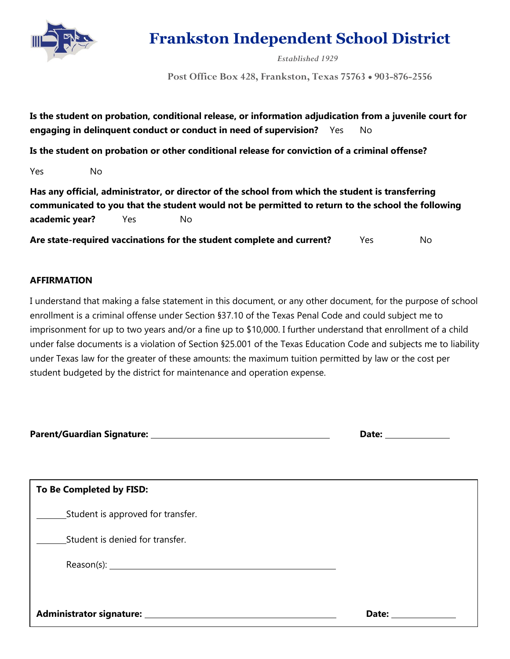

*Established 1929*

**Post Office Box 428, Frankston, Texas 75763** • **903-876-2556**

| Is the student on probation, conditional release, or information adjudication from a juvenile court for |  |
|---------------------------------------------------------------------------------------------------------|--|
| engaging in delinquent conduct or conduct in need of supervision? Yes                                   |  |

**Is the student on probation or other conditional release for conviction of a criminal offense?**

Yes No

**Has any official, administrator, or director of the school from which the student is transferring communicated to you that the student would not be permitted to return to the school the following academic year?** Yes No

Are state-required vaccinations for the student complete and current? Yes No

### **AFFIRMATION**

I understand that making a false statement in this document, or any other document, for the purpose of school enrollment is a criminal offense under Section §37.10 of the Texas Penal Code and could subject me to imprisonment for up to two years and/or a fine up to \$10,000. I further understand that enrollment of a child under false documents is a violation of Section §25.001 of the Texas Education Code and subjects me to liability under Texas law for the greater of these amounts: the maximum tuition permitted by law or the cost per student budgeted by the district for maintenance and operation expense.

**Parent/Guardian Signature: Date: Date: Date: Date: Date: Date: Date: Date: Date: Date: Date: Date: Date: Date: Date: Date: Date: Date: Date: Date: Date: Date: Date: Date:**

| Date: |  |
|-------|--|
|       |  |

| To Be Completed by FISD:          |       |
|-----------------------------------|-------|
| Student is approved for transfer. |       |
| Student is denied for transfer.   |       |
|                                   |       |
|                                   |       |
|                                   | Date: |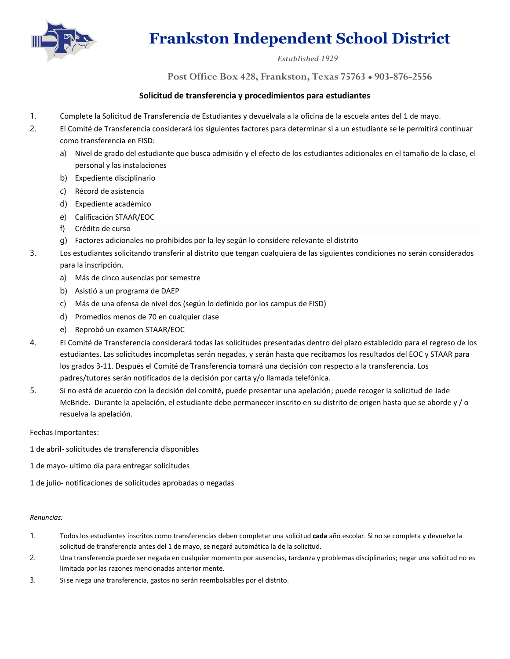

#### *Established 1929*

**Post Office Box 428, Frankston, Texas 75763** • **903-876-2556**

### **Solicitud de transferencia y procedimientos para estudiantes**

- 1. Complete la Solicitud de Transferencia de Estudiantes y devuélvala a la oficina de la escuela antes del 1 de mayo.
- 2. El Comité de Transferencia considerará los siguientes factores para determinar si a un estudiante se le permitirá continuar como transferencia en FISD:
	- a) Nivel de grado del estudiante que busca admisión y el efecto de los estudiantes adicionales en el tamaño de la clase, el personal y las instalaciones
	- b) Expediente disciplinario
	- c) Récord de asistencia
	- d) Expediente académico
	- e) Calificación STAAR/EOC
	- f) Crédito de curso
	- g) Factores adicionales no prohibidos por la ley según lo considere relevante el distrito
- 3. Los estudiantes solicitando transferir al distrito que tengan cualquiera de las siguientes condiciones no serán considerados para la inscripción.
	- a) Más de cinco ausencias por semestre
	- b) Asistió a un programa de DAEP
	- c) Más de una ofensa de nivel dos (según lo definido por los campus de FISD)
	- d) Promedios menos de 70 en cualquier clase
	- e) Reprobó un examen STAAR/EOC
- 4. El Comité de Transferencia considerará todas las solicitudes presentadas dentro del plazo establecido para el regreso de los estudiantes. Las solicitudes incompletas serán negadas, y serán hasta que recibamos los resultados del EOC y STAAR para los grados 3-11. Después el Comité de Transferencia tomará una decisión con respecto a la transferencia. Los padres/tutores serán notificados de la decisión por carta y/o llamada telefónica.
- 5. Si no está de acuerdo con la decisión del comité, puede presentar una apelación; puede recoger la solicitud de Jade McBride. Durante la apelación, el estudiante debe permanecer inscrito en su distrito de origen hasta que se aborde y/o resuelva la apelación.

Fechas Importantes:

- 1 de abril- solicitudes de transferencia disponibles
- 1 de mayo- ultimo día para entregar solicitudes

1 de julio- notificaciones de solicitudes aprobadas o negadas

#### *Renuncias:*

- 1. Todos los estudiantes inscritos como transferencias deben completar una solicitud **cada** año escolar. Si no se completa y devuelve la solicitud de transferencia antes del 1 de mayo, se negará automática la de la solicitud.
- 2. Una transferencia puede ser negada en cualquier momento por ausencias, tardanza y problemas disciplinarios; negar una solicitud no es limitada por las razones mencionadas anterior mente.
- 3. Si se niega una transferencia, gastos no serán reembolsables por el distrito.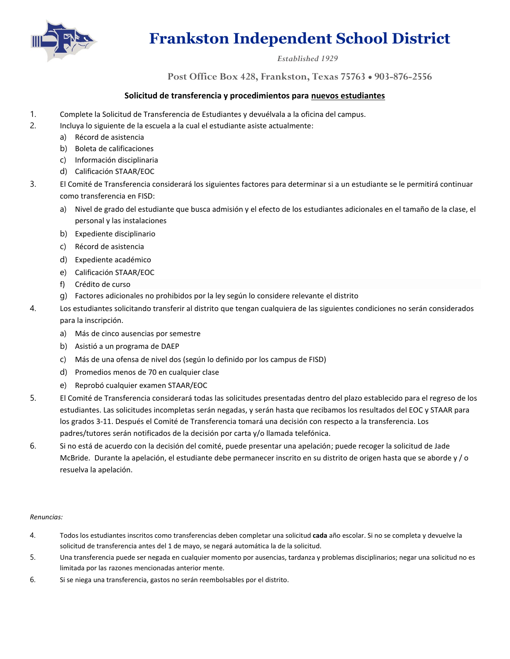

### *Established 1929*

**Post Office Box 428, Frankston, Texas 75763** • **903-876-2556**

### **Solicitud de transferencia y procedimientos para nuevos estudiantes**

- 1. Complete la Solicitud de Transferencia de Estudiantes y devuélvala a la oficina del campus.
- 2. Incluya lo siguiente de la escuela a la cual el estudiante asiste actualmente:
	- a) Récord de asistencia
	- b) Boleta de calificaciones
	- c) Información disciplinaria
	- d) Calificación STAAR/EOC
- 3. El Comité de Transferencia considerará los siguientes factores para determinar si a un estudiante se le permitirá continuar como transferencia en FISD:
	- a) Nivel de grado del estudiante que busca admisión y el efecto de los estudiantes adicionales en el tamaño de la clase, el personal y las instalaciones
	- b) Expediente disciplinario
	- c) Récord de asistencia
	- d) Expediente académico
	- e) Calificación STAAR/EOC
	- f) Crédito de curso
	- g) Factores adicionales no prohibidos por la ley según lo considere relevante el distrito
- 4. Los estudiantes solicitando transferir al distrito que tengan cualquiera de las siguientes condiciones no serán considerados para la inscripción.
	- a) Más de cinco ausencias por semestre
	- b) Asistió a un programa de DAEP
	- c) Más de una ofensa de nivel dos (según lo definido por los campus de FISD)
	- d) Promedios menos de 70 en cualquier clase
	- e) Reprobó cualquier examen STAAR/EOC
- 5. El Comité de Transferencia considerará todas las solicitudes presentadas dentro del plazo establecido para el regreso de los estudiantes. Las solicitudes incompletas serán negadas, y serán hasta que recibamos los resultados del EOC y STAAR para los grados 3-11. Después el Comité de Transferencia tomará una decisión con respecto a la transferencia. Los padres/tutores serán notificados de la decisión por carta y/o llamada telefónica.
- 6. Si no está de acuerdo con la decisión del comité, puede presentar una apelación; puede recoger la solicitud de Jade McBride. Durante la apelación, el estudiante debe permanecer inscrito en su distrito de origen hasta que se aborde y / o resuelva la apelación.

#### *Renuncias:*

- 4. Todos los estudiantes inscritos como transferencias deben completar una solicitud **cada** año escolar. Si no se completa y devuelve la solicitud de transferencia antes del 1 de mayo, se negará automática la de la solicitud.
- 5. Una transferencia puede ser negada en cualquier momento por ausencias, tardanza y problemas disciplinarios; negar una solicitud no es limitada por las razones mencionadas anterior mente.
- 6. Si se niega una transferencia, gastos no serán reembolsables por el distrito.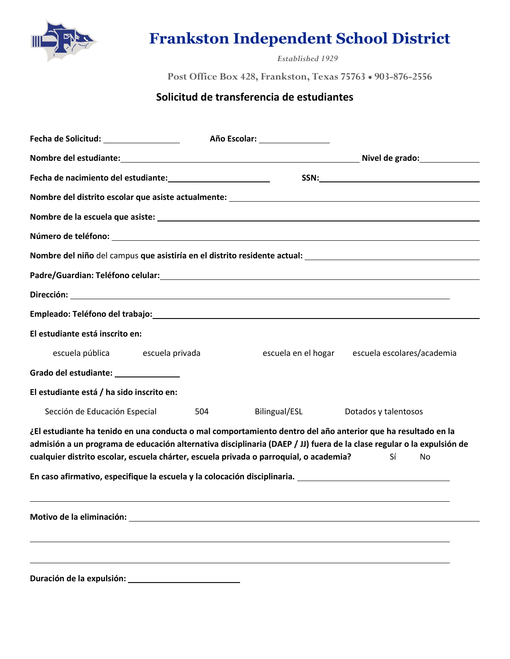

*Established 1929*

**Post Office Box 428, Frankston, Texas 75763** • **903-876-2556**

### **Solicitud de transferencia de estudiantes**

|                                           |                 |     | Año Escolar: _________________                                                                                                                                                                                                                                                                                                  |                            |    |  |
|-------------------------------------------|-----------------|-----|---------------------------------------------------------------------------------------------------------------------------------------------------------------------------------------------------------------------------------------------------------------------------------------------------------------------------------|----------------------------|----|--|
|                                           |                 |     |                                                                                                                                                                                                                                                                                                                                 |                            |    |  |
|                                           |                 |     |                                                                                                                                                                                                                                                                                                                                 |                            |    |  |
|                                           |                 |     |                                                                                                                                                                                                                                                                                                                                 |                            |    |  |
|                                           |                 |     |                                                                                                                                                                                                                                                                                                                                 |                            |    |  |
|                                           |                 |     |                                                                                                                                                                                                                                                                                                                                 |                            |    |  |
|                                           |                 |     | Nombre del niño del campus que asistiría en el distrito residente actual:<br>Nombre del niño del campus que asistiría en el distrito residente actual:                                                                                                                                                                          |                            |    |  |
|                                           |                 |     |                                                                                                                                                                                                                                                                                                                                 |                            |    |  |
|                                           |                 |     |                                                                                                                                                                                                                                                                                                                                 |                            |    |  |
|                                           |                 |     |                                                                                                                                                                                                                                                                                                                                 |                            |    |  |
| El estudiante está inscrito en:           |                 |     |                                                                                                                                                                                                                                                                                                                                 |                            |    |  |
| escuela pública                           | escuela privada |     | escuela en el hogar                                                                                                                                                                                                                                                                                                             | escuela escolares/academia |    |  |
| Grado del estudiante: ________________    |                 |     |                                                                                                                                                                                                                                                                                                                                 |                            |    |  |
| El estudiante está / ha sido inscrito en: |                 |     |                                                                                                                                                                                                                                                                                                                                 |                            |    |  |
| Sección de Educación Especial             |                 | 504 | Bilingual/ESL                                                                                                                                                                                                                                                                                                                   | Dotados y talentosos       |    |  |
|                                           |                 |     | ¿El estudiante ha tenido en una conducta o mal comportamiento dentro del año anterior que ha resultado en la<br>admisión a un programa de educación alternativa disciplinaria (DAEP / JJ) fuera de la clase regular o la expulsión de<br>cualquier distrito escolar, escuela chárter, escuela privada o parroquial, o academia? | Sí                         | No |  |
|                                           |                 |     | En caso afirmativo, especifique la escuela y la colocación disciplinaria. La produzionale establece establece                                                                                                                                                                                                                   |                            |    |  |
|                                           |                 |     |                                                                                                                                                                                                                                                                                                                                 |                            |    |  |
|                                           |                 |     |                                                                                                                                                                                                                                                                                                                                 |                            |    |  |
| Duración de la expulsión:                 |                 |     |                                                                                                                                                                                                                                                                                                                                 |                            |    |  |